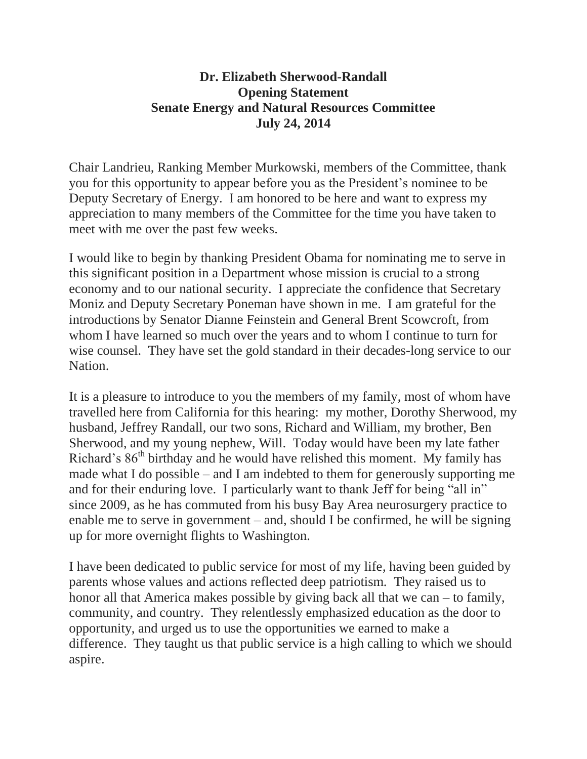## **Dr. Elizabeth Sherwood-Randall Opening Statement Senate Energy and Natural Resources Committee July 24, 2014**

Chair Landrieu, Ranking Member Murkowski, members of the Committee, thank you for this opportunity to appear before you as the President's nominee to be Deputy Secretary of Energy. I am honored to be here and want to express my appreciation to many members of the Committee for the time you have taken to meet with me over the past few weeks.

I would like to begin by thanking President Obama for nominating me to serve in this significant position in a Department whose mission is crucial to a strong economy and to our national security. I appreciate the confidence that Secretary Moniz and Deputy Secretary Poneman have shown in me. I am grateful for the introductions by Senator Dianne Feinstein and General Brent Scowcroft, from whom I have learned so much over the years and to whom I continue to turn for wise counsel. They have set the gold standard in their decades-long service to our Nation.

It is a pleasure to introduce to you the members of my family, most of whom have travelled here from California for this hearing: my mother, Dorothy Sherwood, my husband, Jeffrey Randall, our two sons, Richard and William, my brother, Ben Sherwood, and my young nephew, Will. Today would have been my late father Richard's  $86<sup>th</sup>$  birthday and he would have relished this moment. My family has made what I do possible – and I am indebted to them for generously supporting me and for their enduring love. I particularly want to thank Jeff for being "all in" since 2009, as he has commuted from his busy Bay Area neurosurgery practice to enable me to serve in government – and, should I be confirmed, he will be signing up for more overnight flights to Washington.

I have been dedicated to public service for most of my life, having been guided by parents whose values and actions reflected deep patriotism. They raised us to honor all that America makes possible by giving back all that we can – to family, community, and country. They relentlessly emphasized education as the door to opportunity, and urged us to use the opportunities we earned to make a difference. They taught us that public service is a high calling to which we should aspire.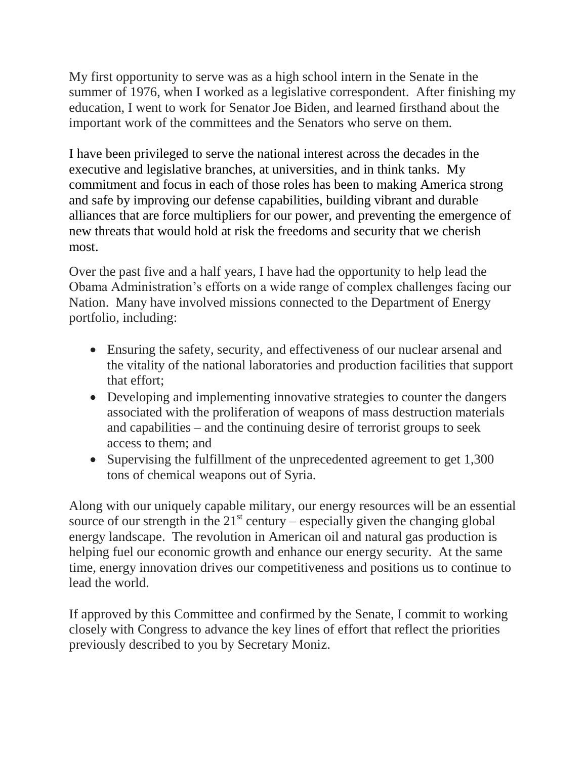My first opportunity to serve was as a high school intern in the Senate in the summer of 1976, when I worked as a legislative correspondent. After finishing my education, I went to work for Senator Joe Biden, and learned firsthand about the important work of the committees and the Senators who serve on them.

I have been privileged to serve the national interest across the decades in the executive and legislative branches, at universities, and in think tanks. My commitment and focus in each of those roles has been to making America strong and safe by improving our defense capabilities, building vibrant and durable alliances that are force multipliers for our power, and preventing the emergence of new threats that would hold at risk the freedoms and security that we cherish most.

Over the past five and a half years, I have had the opportunity to help lead the Obama Administration's efforts on a wide range of complex challenges facing our Nation. Many have involved missions connected to the Department of Energy portfolio, including:

- Ensuring the safety, security, and effectiveness of our nuclear arsenal and the vitality of the national laboratories and production facilities that support that effort;
- Developing and implementing innovative strategies to counter the dangers associated with the proliferation of weapons of mass destruction materials and capabilities – and the continuing desire of terrorist groups to seek access to them; and
- Supervising the fulfillment of the unprecedented agreement to get 1,300 tons of chemical weapons out of Syria.

Along with our uniquely capable military, our energy resources will be an essential source of our strength in the  $21<sup>st</sup>$  century – especially given the changing global energy landscape. The revolution in American oil and natural gas production is helping fuel our economic growth and enhance our energy security. At the same time, energy innovation drives our competitiveness and positions us to continue to lead the world.

If approved by this Committee and confirmed by the Senate, I commit to working closely with Congress to advance the key lines of effort that reflect the priorities previously described to you by Secretary Moniz.